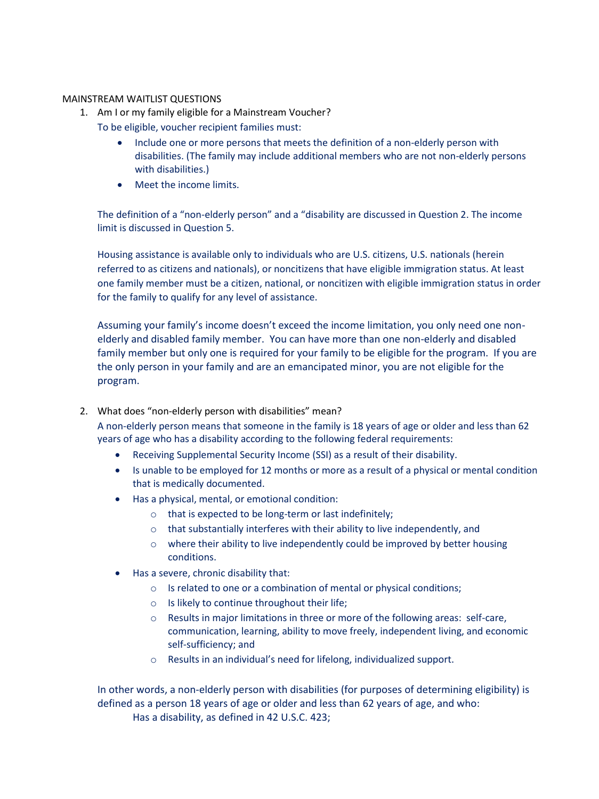## MAINSTREAM WAITLIST QUESTIONS

- 1. Am I or my family eligible for a Mainstream Voucher?
	- To be eligible, voucher recipient families must:
		- Include one or more persons that meets the definition of a non-elderly person with disabilities. (The family may include additional members who are not non-elderly persons with disabilities.)
		- Meet the income limits.

The definition of a "non-elderly person" and a "disability are discussed in Question 2. The income limit is discussed in Question 5.

Housing assistance is available only to individuals who are U.S. citizens, U.S. nationals (herein referred to as citizens and nationals), or noncitizens that have eligible immigration status. At least one family member must be a citizen, national, or noncitizen with eligible immigration status in order for the family to qualify for any level of assistance.

Assuming your family's income doesn't exceed the income limitation, you only need one nonelderly and disabled family member. You can have more than one non-elderly and disabled family member but only one is required for your family to be eligible for the program. If you are the only person in your family and are an emancipated minor, you are not eligible for the program.

2. What does "non-elderly person with disabilities" mean?

A non-elderly person means that someone in the family is 18 years of age or older and less than 62 years of age who has a disability according to the following federal requirements:

- Receiving Supplemental Security Income (SSI) as a result of their disability.
- Is unable to be employed for 12 months or more as a result of a physical or mental condition that is medically documented.
- Has a physical, mental, or emotional condition:
	- o that is expected to be long-term or last indefinitely;
	- o that substantially interferes with their ability to live independently, and
	- o where their ability to live independently could be improved by better housing conditions.
- Has a severe, chronic disability that:
	- o Is related to one or a combination of mental or physical conditions;
	- o Is likely to continue throughout their life;
	- o Results in major limitations in three or more of the following areas: self-care, communication, learning, ability to move freely, independent living, and economic self-sufficiency; and
	- o Results in an individual's need for lifelong, individualized support.

In other words, a non-elderly person with disabilities (for purposes of determining eligibility) is defined as a person 18 years of age or older and less than 62 years of age, and who: Has a disability, as defined in 42 U.S.C. 423;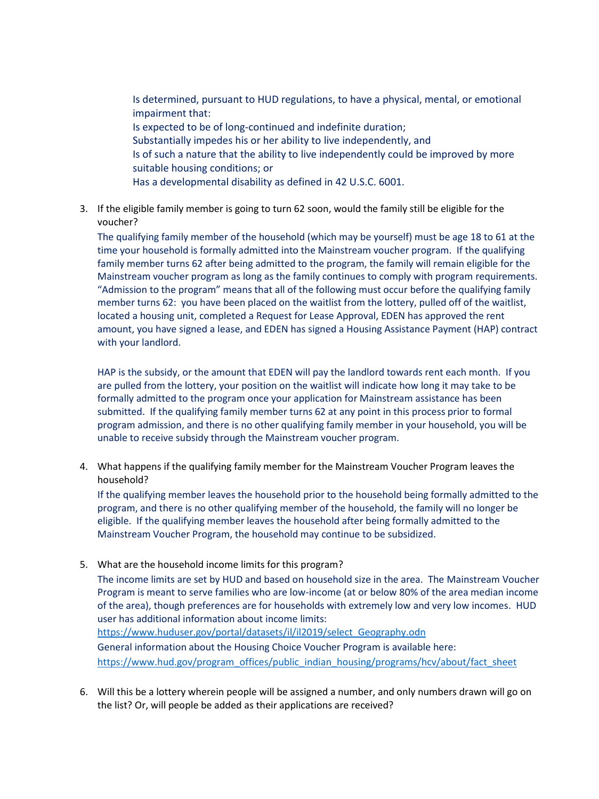Is determined, pursuant to HUD regulations, to have a physical, mental, or emotional impairment that: Is expected to be of long-continued and indefinite duration; Substantially impedes his or her ability to live independently, and Is of such a nature that the ability to live independently could be improved by more suitable housing conditions; or Has a developmental disability as defined in 42 U.S.C. 6001.

3. If the eligible family member is going to turn 62 soon, would the family still be eligible for the voucher?

The qualifying family member of the household (which may be yourself) must be age 18 to 61 at the time your household is formally admitted into the Mainstream voucher program. If the qualifying family member turns 62 after being admitted to the program, the family will remain eligible for the Mainstream voucher program as long as the family continues to comply with program requirements. "Admission to the program" means that all of the following must occur before the qualifying family member turns 62: you have been placed on the waitlist from the lottery, pulled off of the waitlist, located a housing unit, completed a Request for Lease Approval, EDEN has approved the rent amount, you have signed a lease, and EDEN has signed a Housing Assistance Payment (HAP) contract with your landlord.

HAP is the subsidy, or the amount that EDEN will pay the landlord towards rent each month. If you are pulled from the lottery, your position on the waitlist will indicate how long it may take to be formally admitted to the program once your application for Mainstream assistance has been submitted. If the qualifying family member turns 62 at any point in this process prior to formal program admission, and there is no other qualifying family member in your household, you will be unable to receive subsidy through the Mainstream voucher program.

4. What happens if the qualifying family member for the Mainstream Voucher Program leaves the household?

If the qualifying member leaves the household prior to the household being formally admitted to the program, and there is no other qualifying member of the household, the family will no longer be eligible. If the qualifying member leaves the household after being formally admitted to the Mainstream Voucher Program, the household may continue to be subsidized.

5. What are the household income limits for this program?

The income limits are set by HUD and based on household size in the area. The Mainstream Voucher Program is meant to serve families who are low-income (at or below 80% of the area median income of the area), though preferences are for households with extremely low and very low incomes. HUD user has additional information about income limits: [https://www.huduser.gov/portal/datasets/il/il2019/select\\_Geography.odn](https://www.huduser.gov/portal/datasets/il/il2019/select_Geography.odn)

General information about the Housing Choice Voucher Program is available here: [https://www.hud.gov/program\\_offices/public\\_indian\\_housing/programs/hcv/about/fact\\_sheet](https://www.hud.gov/program_offices/public_indian_housing/programs/hcv/about/fact_sheet)

6. Will this be a lottery wherein people will be assigned a number, and only numbers drawn will go on the list? Or, will people be added as their applications are received?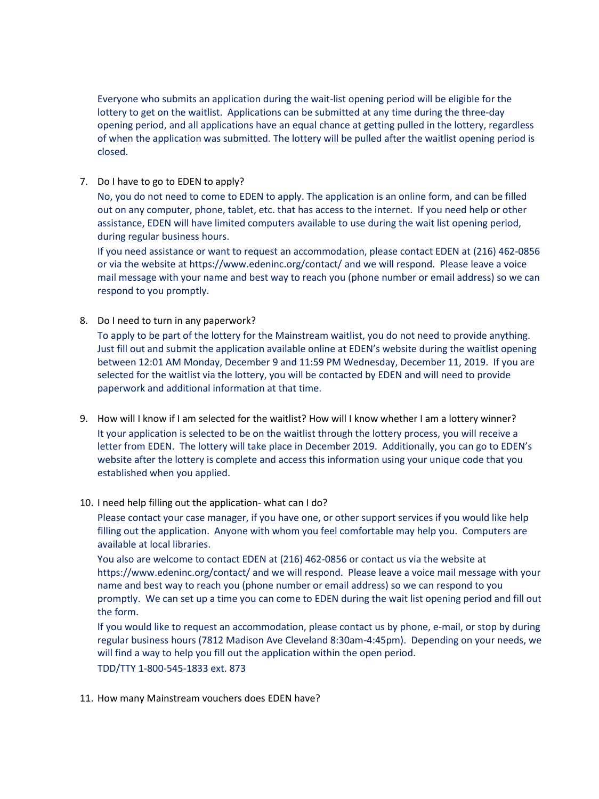Everyone who submits an application during the wait-list opening period will be eligible for the lottery to get on the waitlist. Applications can be submitted at any time during the three-day opening period, and all applications have an equal chance at getting pulled in the lottery, regardless of when the application was submitted. The lottery will be pulled after the waitlist opening period is closed.

7. Do I have to go to EDEN to apply?

No, you do not need to come to EDEN to apply. The application is an online form, and can be filled out on any computer, phone, tablet, etc. that has access to the internet. If you need help or other assistance, EDEN will have limited computers available to use during the wait list opening period, during regular business hours.

If you need assistance or want to request an accommodation, please contact EDEN at (216) 462-0856 or via the website at https://www.edeninc.org/contact/ and we will respond. Please leave a voice mail message with your name and best way to reach you (phone number or email address) so we can respond to you promptly.

8. Do I need to turn in any paperwork?

To apply to be part of the lottery for the Mainstream waitlist, you do not need to provide anything. Just fill out and submit the application available online at EDEN's website during the waitlist opening between 12:01 AM Monday, December 9 and 11:59 PM Wednesday, December 11, 2019. If you are selected for the waitlist via the lottery, you will be contacted by EDEN and will need to provide paperwork and additional information at that time.

- 9. How will I know if I am selected for the waitlist? How will I know whether I am a lottery winner? It your application is selected to be on the waitlist through the lottery process, you will receive a letter from EDEN. The lottery will take place in December 2019. Additionally, you can go to EDEN's website after the lottery is complete and access this information using your unique code that you established when you applied.
- 10. I need help filling out the application- what can I do?

Please contact your case manager, if you have one, or other support services if you would like help filling out the application. Anyone with whom you feel comfortable may help you. Computers are available at local libraries.

You also are welcome to contact EDEN at (216) 462-0856 or contact us via the website at https://www.edeninc.org/contact/ and we will respond. Please leave a voice mail message with your name and best way to reach you (phone number or email address) so we can respond to you promptly. We can set up a time you can come to EDEN during the wait list opening period and fill out the form.

If you would like to request an accommodation, please contact us by phone, e-mail, or stop by during regular business hours (7812 Madison Ave Cleveland 8:30am-4:45pm). Depending on your needs, we will find a way to help you fill out the application within the open period. TDD/TTY 1-800-545-1833 ext. 873

11. How many Mainstream vouchers does EDEN have?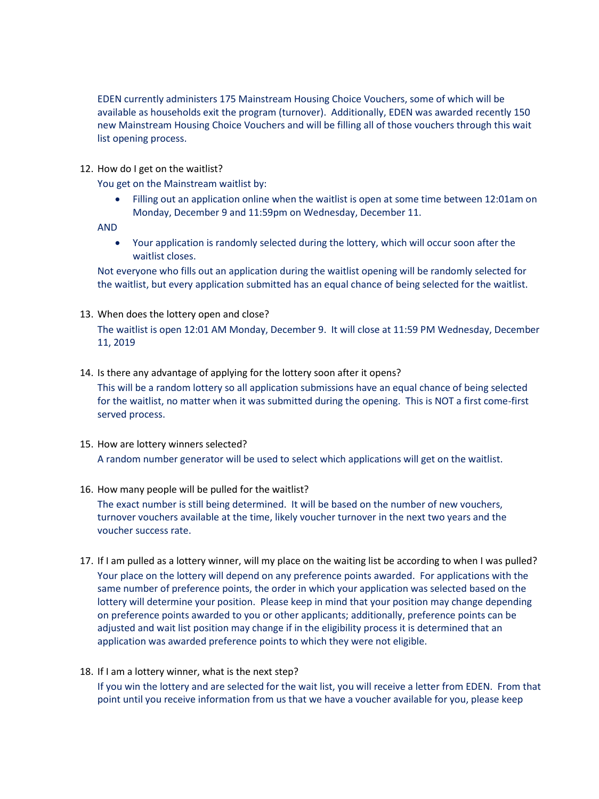EDEN currently administers 175 Mainstream Housing Choice Vouchers, some of which will be available as households exit the program (turnover). Additionally, EDEN was awarded recently 150 new Mainstream Housing Choice Vouchers and will be filling all of those vouchers through this wait list opening process.

12. How do I get on the waitlist?

You get on the Mainstream waitlist by:

 Filling out an application online when the waitlist is open at some time between 12:01am on Monday, December 9 and 11:59pm on Wednesday, December 11.

AND

 Your application is randomly selected during the lottery, which will occur soon after the waitlist closes.

Not everyone who fills out an application during the waitlist opening will be randomly selected for the waitlist, but every application submitted has an equal chance of being selected for the waitlist.

13. When does the lottery open and close?

The waitlist is open 12:01 AM Monday, December 9. It will close at 11:59 PM Wednesday, December 11, 2019

14. Is there any advantage of applying for the lottery soon after it opens?

This will be a random lottery so all application submissions have an equal chance of being selected for the waitlist, no matter when it was submitted during the opening. This is NOT a first come-first served process.

- 15. How are lottery winners selected? A random number generator will be used to select which applications will get on the waitlist.
- 16. How many people will be pulled for the waitlist?

The exact number is still being determined. It will be based on the number of new vouchers, turnover vouchers available at the time, likely voucher turnover in the next two years and the voucher success rate.

- 17. If I am pulled as a lottery winner, will my place on the waiting list be according to when I was pulled? Your place on the lottery will depend on any preference points awarded. For applications with the same number of preference points, the order in which your application was selected based on the lottery will determine your position. Please keep in mind that your position may change depending on preference points awarded to you or other applicants; additionally, preference points can be adjusted and wait list position may change if in the eligibility process it is determined that an application was awarded preference points to which they were not eligible.
- 18. If I am a lottery winner, what is the next step?

If you win the lottery and are selected for the wait list, you will receive a letter from EDEN. From that point until you receive information from us that we have a voucher available for you, please keep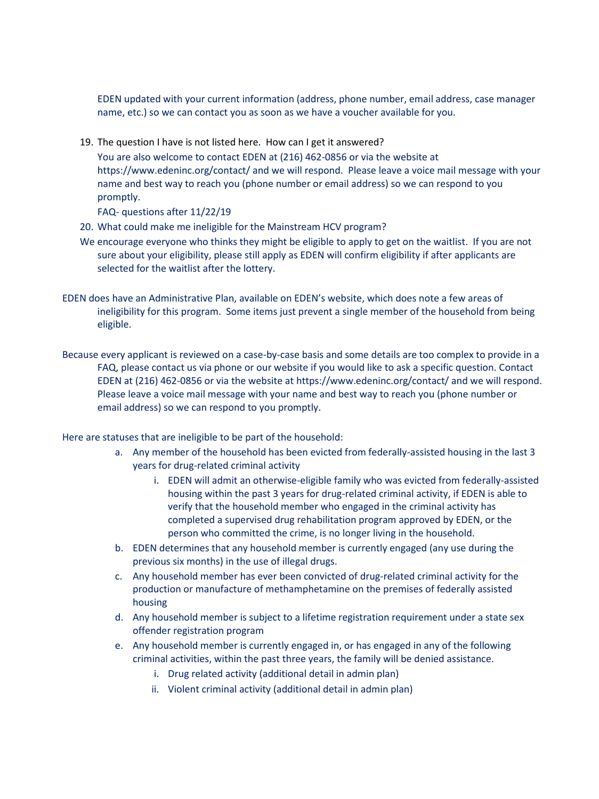EDEN updated with your current information (address, phone number, email address, case manager name, etc.) so we can contact you as soon as we have a voucher available for you.

19. The question I have is not listed here. How can I get it answered?

You are also welcome to contact EDEN at (216) 462-0856 or via the website at https://www.edeninc.org/contact/ and we will respond. Please leave a voice mail message with your name and best way to reach you (phone number or email address) so we can respond to you promptly.

FAQ- questions after 11/22/19

- 20. What could make me ineligible for the Mainstream HCV program?
- We encourage everyone who thinks they might be eligible to apply to get on the waitlist. If you are not sure about your eligibility, please still apply as EDEN will confirm eligibility if after applicants are selected for the waitlist after the lottery.
- EDEN does have an Administrative Plan, available on EDEN's website, which does note a few areas of ineligibility for this program. Some items just prevent a single member of the household from being eligible.
- Because every applicant is reviewed on a case-by-case basis and some details are too complex to provide in a FAQ, please contact us via phone or our website if you would like to ask a specific question. Contact EDEN at (216) 462-0856 or via the website at https://www.edeninc.org/contact/ and we will respond. Please leave a voice mail message with your name and best way to reach you (phone number or email address) so we can respond to you promptly.

Here are statuses that are ineligible to be part of the household:

- a. Any member of the household has been evicted from federally-assisted housing in the last 3 years for drug-related criminal activity
	- i. EDEN will admit an otherwise-eligible family who was evicted from federally-assisted housing within the past 3 years for drug-related criminal activity, if EDEN is able to verify that the household member who engaged in the criminal activity has completed a supervised drug rehabilitation program approved by EDEN, or the person who committed the crime, is no longer living in the household.
- b. EDEN determines that any household member is currently engaged (any use during the previous six months) in the use of illegal drugs.
- c. Any household member has ever been convicted of drug-related criminal activity for the production or manufacture of methamphetamine on the premises of federally assisted housing
- d. Any household member is subject to a lifetime registration requirement under a state sex offender registration program
- e. Any household member is currently engaged in, or has engaged in any of the following criminal activities, within the past three years, the family will be denied assistance.
	- i. Drug related activity (additional detail in admin plan)
	- ii. Violent criminal activity (additional detail in admin plan)